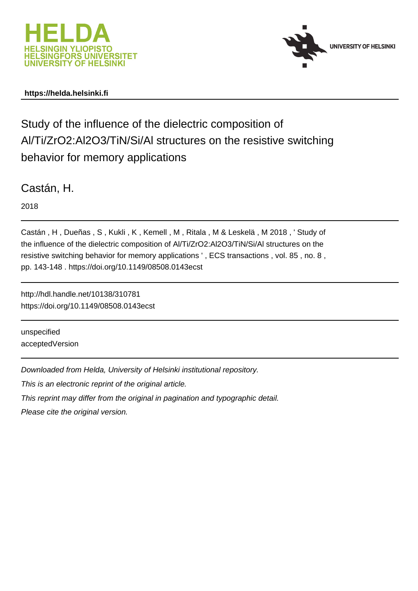



## **https://helda.helsinki.fi**

# Study of the influence of the dielectric composition of Al/Ti/ZrO2:Al2O3/TiN/Si/Al structures on the resistive switching behavior for memory applications

Castán, H.

2018

Castán , H , Dueñas , S , Kukli , K , Kemell , M , Ritala , M & Leskelä , M 2018 , ' Study of the influence of the dielectric composition of Al/Ti/ZrO2:Al2O3/TiN/Si/Al structures on the resistive switching behavior for memory applications ' , ECS transactions , vol. 85 , no. 8 , pp. 143-148 . https://doi.org/10.1149/08508.0143ecst

http://hdl.handle.net/10138/310781 https://doi.org/10.1149/08508.0143ecst

unspecified acceptedVersion

Downloaded from Helda, University of Helsinki institutional repository.

This is an electronic reprint of the original article.

This reprint may differ from the original in pagination and typographic detail.

Please cite the original version.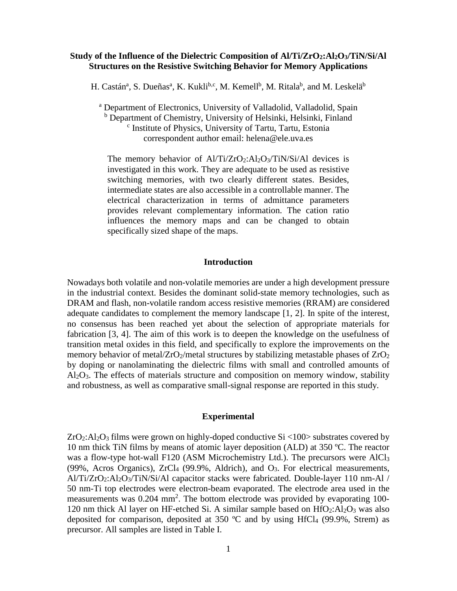## **Study of the Influence of the Dielectric Composition of Al/Ti/ZrO2:Al2O3/TiN/Si/Al Structures on the Resistive Switching Behavior for Memory Applications**

H. Castán<sup>a</sup>, S. Dueñas<sup>a</sup>, K. Kukli<sup>b,c</sup>, M. Kemell<sup>b</sup>, M. Ritala<sup>b</sup>, and M. Leskelä<sup>b</sup>

<sup>a</sup> Department of Electronics, University of Valladolid, Valladolid, Spain <sup>b</sup> Department of Chemistry, University of Helsinki, Helsinki, Finland <sup>c</sup> Institute of Physics, University of Tartu, Tartu, Estonia correspondent author email: helena@ele.uva.es

The memory behavior of  $A1/Ti/ZrQ_2:A1_2Q_3/TiN/Si/A1$  devices is investigated in this work. They are adequate to be used as resistive switching memories, with two clearly different states. Besides, intermediate states are also accessible in a controllable manner. The electrical characterization in terms of admittance parameters provides relevant complementary information. The cation ratio influences the memory maps and can be changed to obtain specifically sized shape of the maps.

#### **Introduction**

Nowadays both volatile and non-volatile memories are under a high development pressure in the industrial context. Besides the dominant solid-state memory technologies, such as DRAM and flash, non-volatile random access resistive memories (RRAM) are considered adequate candidates to complement the memory landscape [1, 2]. In spite of the interest, no consensus has been reached yet about the selection of appropriate materials for fabrication [3, 4]. The aim of this work is to deepen the knowledge on the usefulness of transition metal oxides in this field, and specifically to explore the improvements on the memory behavior of metal/ $ZrO_2/m$ etal structures by stabilizing metastable phases of  $ZrO_2$ by doping or nanolaminating the dielectric films with small and controlled amounts of Al2O3. The effects of materials structure and composition on memory window, stability and robustness, as well as comparative small-signal response are reported in this study.

#### **Experimental**

 $ZrO<sub>2</sub>:Al<sub>2</sub>O<sub>3</sub>$  films were grown on highly-doped conductive Si <100> substrates covered by 10 nm thick TiN films by means of atomic layer deposition (ALD) at 350 ºC. The reactor was a flow-type hot-wall F120 (ASM Microchemistry Ltd.). The precursors were AlCl<sub>3</sub> (99%, Acros Organics), ZrCl4 (99.9%, Aldrich), and O3. For electrical measurements, Al/Ti/ZrO2:Al2O3/TiN/Si/Al capacitor stacks were fabricated. Double-layer 110 nm-Al / 50 nm-Ti top electrodes were electron-beam evaporated. The electrode area used in the measurements was 0.204 mm<sup>2</sup>. The bottom electrode was provided by evaporating 100-120 nm thick Al layer on HF-etched Si. A similar sample based on  $HfO<sub>2</sub>:Al<sub>2</sub>O<sub>3</sub>$  was also deposited for comparison, deposited at 350  $^{\circ}$ C and by using HfCl<sub>4</sub> (99.9%, Strem) as precursor. All samples are listed in Table I.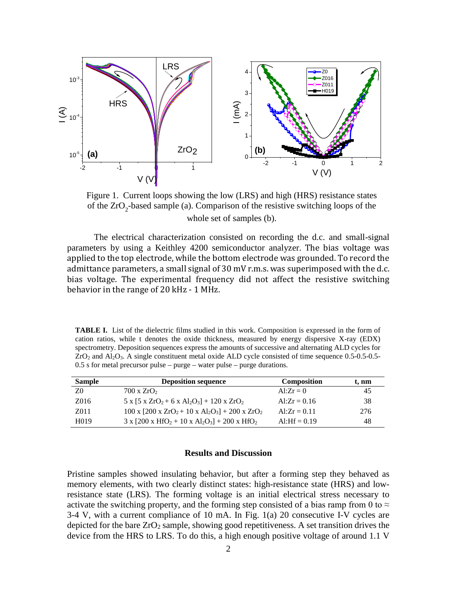

Figure 1. Current loops showing the low (LRS) and high (HRS) resistance states of the  $ZrO<sub>2</sub>$ -based sample (a). Comparison of the resistive switching loops of the whole set of samples (b).

The electrical characterization consisted on recording the d.c. and small-signal parameters by using a Keithley 4200 semiconductor analyzer. The bias voltage was applied to the top electrode, while the bottom electrode was grounded. To record the admittance parameters, a small signal of 30 mV r.m.s. was superimposed with the d.c. bias voltage. The experimental frequency did not affect the resistive switching behavior in the range of 20 kHz - 1 MHz.

**TABLE I.** List of the dielectric films studied in this work. Composition is expressed in the form of cation ratios, while t denotes the oxide thickness, measured by energy dispersive X-ray (EDX) spectrometry. Deposition sequences express the amounts of successive and alternating ALD cycles for  $ZrO<sub>2</sub>$  and Al<sub>2</sub>O<sub>3</sub>. A single constituent metal oxide ALD cycle consisted of time sequence 0.5-0.5-0.5-0.5 s for metal precursor pulse – purge – water pulse – purge durations.

| <b>Sample</b>     | <b>Deposition sequence</b>                                             | <b>Composition</b> | t. nm |
|-------------------|------------------------------------------------------------------------|--------------------|-------|
| Z0                | $700 \times ZrO2$                                                      | $Al:Zr=0$          | 45    |
| Z016              | $5 \times 5 \times ZrO_2 + 6 \times Al_2O_3$ + 120 x ZrO <sub>2</sub>  | Al: $Zr = 0.16$    | 38    |
| Z011              | $100 \times [200 \times ZrO_2 + 10 \times Al_2O_3] + 200 \times ZrO_2$ | $Al:Zr = 0.11$     | 276   |
| H <sub>0</sub> 19 | $3 \times [200 \times HfO_2 + 10 \times Al_2O_3] + 200 \times HfO_2$   | Al:H $f = 0.19$    | 48    |

#### **Results and Discussion**

Pristine samples showed insulating behavior, but after a forming step they behaved as memory elements, with two clearly distinct states: high-resistance state (HRS) and lowresistance state (LRS). The forming voltage is an initial electrical stress necessary to activate the switching property, and the forming step consisted of a bias ramp from 0 to  $\approx$ 3-4 V, with a current compliance of 10 mA. In Fig. 1(a) 20 consecutive I-V cycles are depicted for the bare  $ZrO_2$  sample, showing good repetitiveness. A set transition drives the device from the HRS to LRS. To do this, a high enough positive voltage of around 1.1 V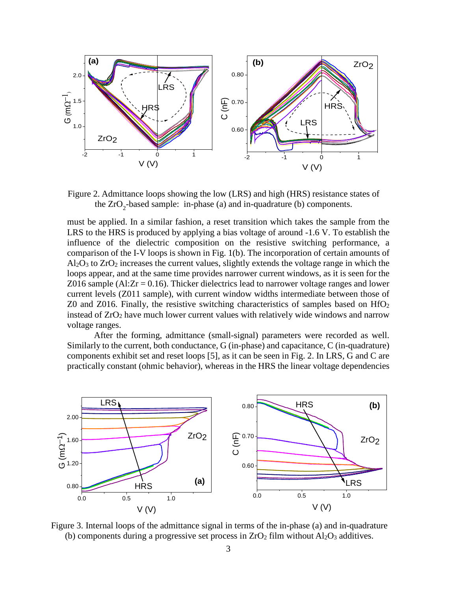

Figure 2. Admittance loops showing the low (LRS) and high (HRS) resistance states of the  $ZrO<sub>2</sub>$ -based sample: in-phase (a) and in-quadrature (b) components.

must be applied. In a similar fashion, a reset transition which takes the sample from the LRS to the HRS is produced by applying a bias voltage of around -1.6 V. To establish the influence of the dielectric composition on the resistive switching performance, a comparison of the I-V loops is shown in Fig. 1(b). The incorporation of certain amounts of  $A<sub>1</sub>Q<sub>3</sub>$  to  $Z<sub>1</sub>Q<sub>2</sub>$  increases the current values, slightly extends the voltage range in which the loops appear, and at the same time provides narrower current windows, as it is seen for the Z016 sample (Al: $Zr = 0.16$ ). Thicker dielectrics lead to narrower voltage ranges and lower current levels (Z011 sample), with current window widths intermediate between those of Z0 and Z016. Finally, the resistive switching characteristics of samples based on  $HfO<sub>2</sub>$ instead of ZrO2 have much lower current values with relatively wide windows and narrow voltage ranges.

After the forming, admittance (small-signal) parameters were recorded as well. Similarly to the current, both conductance, G (in-phase) and capacitance, C (in-quadrature) components exhibit set and reset loops [5], as it can be seen in Fig. 2. In LRS, G and C are practically constant (ohmic behavior), whereas in the HRS the linear voltage dependencies



Figure 3. Internal loops of the admittance signal in terms of the in-phase (a) and in-quadrature (b) components during a progressive set process in  $ZrO<sub>2</sub>$  film without  $Al<sub>2</sub>O<sub>3</sub>$  additives.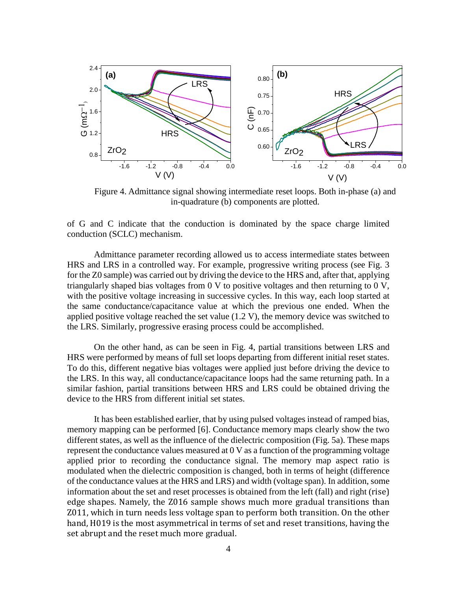

Figure 4. Admittance signal showing intermediate reset loops. Both in-phase (a) and in-quadrature (b) components are plotted.

of G and C indicate that the conduction is dominated by the space charge limited conduction (SCLC) mechanism.

Admittance parameter recording allowed us to access intermediate states between HRS and LRS in a controlled way. For example, progressive writing process (see Fig. 3 for the Z0 sample) was carried out by driving the device to the HRS and, after that, applying triangularly shaped bias voltages from 0 V to positive voltages and then returning to 0 V, with the positive voltage increasing in successive cycles. In this way, each loop started at the same conductance/capacitance value at which the previous one ended. When the applied positive voltage reached the set value (1.2 V), the memory device was switched to the LRS. Similarly, progressive erasing process could be accomplished.

On the other hand, as can be seen in Fig. 4, partial transitions between LRS and HRS were performed by means of full set loops departing from different initial reset states. To do this, different negative bias voltages were applied just before driving the device to the LRS. In this way, all conductance/capacitance loops had the same returning path. In a similar fashion, partial transitions between HRS and LRS could be obtained driving the device to the HRS from different initial set states.

It has been established earlier, that by using pulsed voltages instead of ramped bias, memory mapping can be performed [6]. Conductance memory maps clearly show the two different states, as well as the influence of the dielectric composition (Fig. 5a). These maps represent the conductance values measured at 0 V as a function of the programming voltage applied prior to recording the conductance signal. The memory map aspect ratio is modulated when the dielectric composition is changed, both in terms of height (difference of the conductance values at the HRS and LRS) and width (voltage span). In addition, some information about the set and reset processes is obtained from the left (fall) and right (rise) edge shapes. Namely, the Z016 sample shows much more gradual transitions than Z011, which in turn needs less voltage span to perform both transition. On the other hand, H019 is the most asymmetrical in terms of set and reset transitions, having the set abrupt and the reset much more gradual.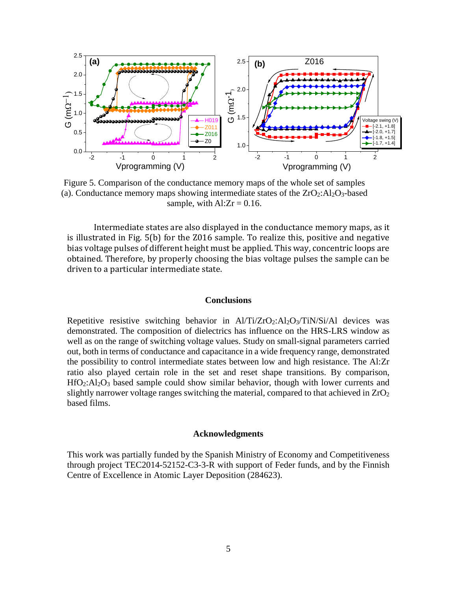

Figure 5. Comparison of the conductance memory maps of the whole set of samples (a). Conductance memory maps showing intermediate states of the  $ZrO<sub>2</sub>:Al<sub>2</sub>O<sub>3</sub>$ -based sample, with  $\text{Al:} Zr = 0.16$ .

Intermediate states are also displayed in the conductance memory maps, as it is illustrated in Fig. 5(b) for the Z016 sample. To realize this, positive and negative bias voltage pulses of different height must be applied. This way, concentric loops are obtained. Therefore, by properly choosing the bias voltage pulses the sample can be driven to a particular intermediate state.

## **Conclusions**

Repetitive resistive switching behavior in  $Al/Ti/ZrO<sub>2</sub>:Al<sub>2</sub>O<sub>3</sub>/TiN/Si/Al$  devices was demonstrated. The composition of dielectrics has influence on the HRS-LRS window as well as on the range of switching voltage values. Study on small-signal parameters carried out, both in terms of conductance and capacitance in a wide frequency range, demonstrated the possibility to control intermediate states between low and high resistance. The Al:Zr ratio also played certain role in the set and reset shape transitions. By comparison,  $HfO<sub>2</sub>:Al<sub>2</sub>O<sub>3</sub>$  based sample could show similar behavior, though with lower currents and slightly narrower voltage ranges switching the material, compared to that achieved in  $ZrO<sub>2</sub>$ based films.

#### **Acknowledgments**

This work was partially funded by the Spanish Ministry of Economy and Competitiveness through project TEC2014-52152-C3-3-R with support of Feder funds, and by the Finnish Centre of Excellence in Atomic Layer Deposition (284623).